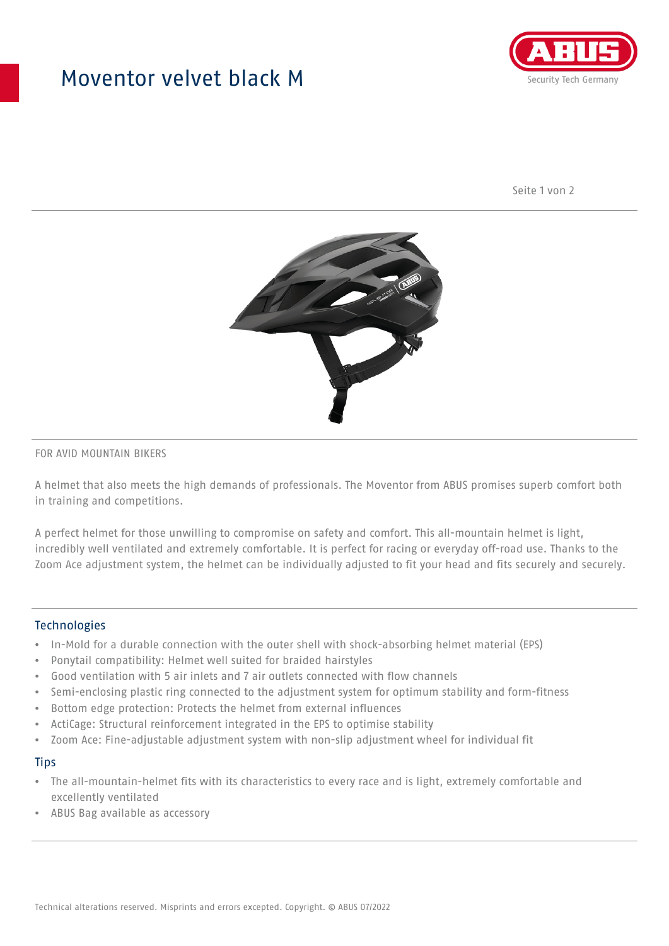## Moventor velvet black M



Seite 1 von 2



#### FOR AVID MOUNTAIN BIKERS

A helmet that also meets the high demands of professionals. The Moventor from ABUS promises superb comfort both in training and competitions.

A perfect helmet for those unwilling to compromise on safety and comfort. This all-mountain helmet is light, incredibly well ventilated and extremely comfortable. It is perfect for racing or everyday off-road use. Thanks to the Zoom Ace adjustment system, the helmet can be individually adjusted to fit your head and fits securely and securely.

#### **Technologies**

- In-Mold for a durable connection with the outer shell with shock-absorbing helmet material (EPS)
- Ponytail compatibility: Helmet well suited for braided hairstyles
- Good ventilation with 5 air inlets and 7 air outlets connected with flow channels
- Semi-enclosing plastic ring connected to the adjustment system for optimum stability and form-fitness
- Bottom edge protection: Protects the helmet from external influences
- ActiCage: Structural reinforcement integrated in the EPS to optimise stability
- Zoom Ace: Fine-adjustable adjustment system with non-slip adjustment wheel for individual fit

#### **Tips**

- The all-mountain-helmet fits with its characteristics to every race and is light, extremely comfortable and excellently ventilated
- ABUS Bag available as accessory